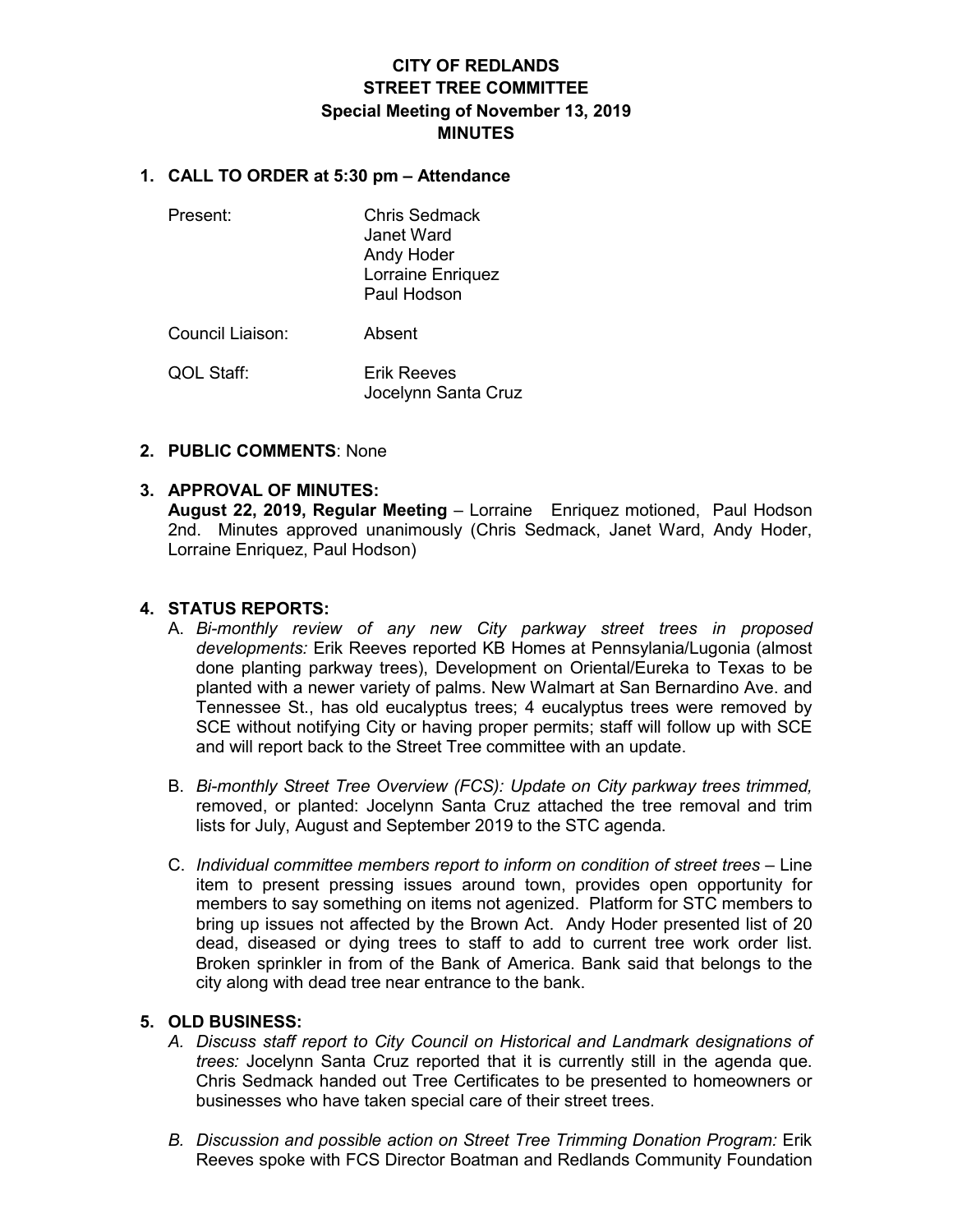# **CITY OF REDLANDS STREET TREE COMMITTEE Special Meeting of November 13, 2019 MINUTES**

## **1. CALL TO ORDER at 5:30 pm – Attendance**

- 
- Present: Chris Sedmack Janet Ward Andy Hoder Lorraine Enriquez Paul Hodson

Council Liaison: Absent

QOL Staff: Erik Reeves Jocelynn Santa Cruz

## **2. PUBLIC COMMENTS**: None

## **3. APPROVAL OF MINUTES:**

**August 22, 2019, Regular Meeting** – Lorraine Enriquez motioned, Paul Hodson 2nd. Minutes approved unanimously (Chris Sedmack, Janet Ward, Andy Hoder, Lorraine Enriquez, Paul Hodson)

## **4. STATUS REPORTS:**

- A. *Bi-monthly review of any new City parkway street trees in proposed developments:* Erik Reeves reported KB Homes at Pennsylania/Lugonia (almost done planting parkway trees), Development on Oriental/Eureka to Texas to be planted with a newer variety of palms. New Walmart at San Bernardino Ave. and Tennessee St., has old eucalyptus trees; 4 eucalyptus trees were removed by SCE without notifying City or having proper permits; staff will follow up with SCE and will report back to the Street Tree committee with an update.
- B. *Bi-monthly Street Tree Overview (FCS): Update on City parkway trees trimmed,*  removed, or planted: Jocelynn Santa Cruz attached the tree removal and trim lists for July, August and September 2019 to the STC agenda.
- C. *Individual committee members report to inform on condition of street trees* Line item to present pressing issues around town, provides open opportunity for members to say something on items not agenized. Platform for STC members to bring up issues not affected by the Brown Act. Andy Hoder presented list of 20 dead, diseased or dying trees to staff to add to current tree work order list. Broken sprinkler in from of the Bank of America. Bank said that belongs to the city along with dead tree near entrance to the bank.

#### **5. OLD BUSINESS:**

- *A. Discuss staff report to City Council on Historical and Landmark designations of trees:* Jocelynn Santa Cruz reported that it is currently still in the agenda que. Chris Sedmack handed out Tree Certificates to be presented to homeowners or businesses who have taken special care of their street trees.
- *B. Discussion and possible action on Street Tree Trimming Donation Program:* Erik Reeves spoke with FCS Director Boatman and Redlands Community Foundation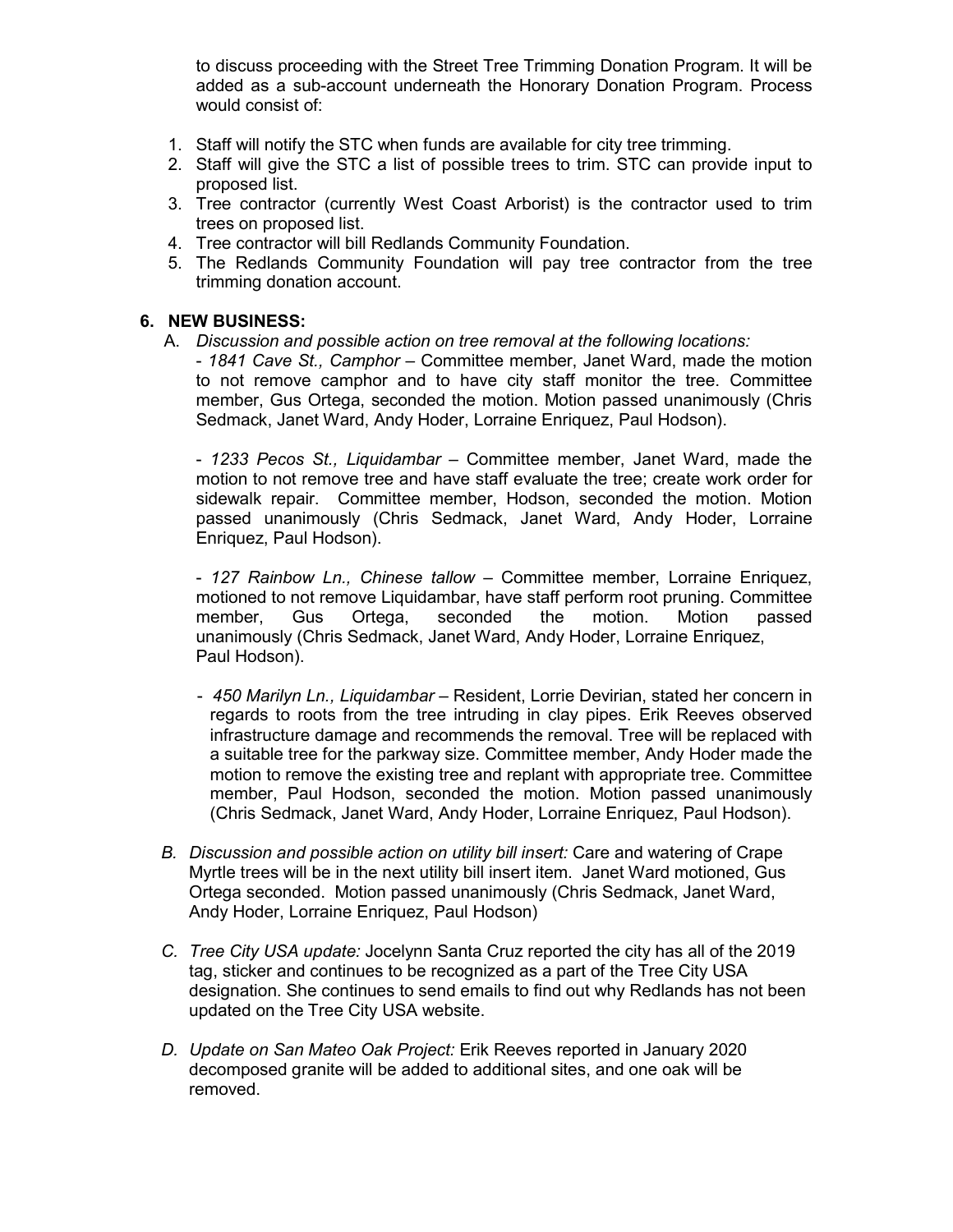to discuss proceeding with the Street Tree Trimming Donation Program. It will be added as a sub-account underneath the Honorary Donation Program. Process would consist of:

- 1. Staff will notify the STC when funds are available for city tree trimming.
- 2. Staff will give the STC a list of possible trees to trim. STC can provide input to proposed list.
- 3. Tree contractor (currently West Coast Arborist) is the contractor used to trim trees on proposed list.
- 4. Tree contractor will bill Redlands Community Foundation.
- 5. The Redlands Community Foundation will pay tree contractor from the tree trimming donation account.

## **6. NEW BUSINESS:**

- A. *Discussion and possible action on tree removal at the following locations:*
	- *1841 Cave St., Camphor* Committee member, Janet Ward, made the motion to not remove camphor and to have city staff monitor the tree. Committee member, Gus Ortega, seconded the motion. Motion passed unanimously (Chris Sedmack, Janet Ward, Andy Hoder, Lorraine Enriquez, Paul Hodson).

- *1233 Pecos St., Liquidambar* – Committee member, Janet Ward, made the motion to not remove tree and have staff evaluate the tree; create work order for sidewalk repair. Committee member, Hodson, seconded the motion. Motion passed unanimously (Chris Sedmack, Janet Ward, Andy Hoder, Lorraine Enriquez, Paul Hodson).

- *127 Rainbow Ln., Chinese tallow* – Committee member, Lorraine Enriquez, motioned to not remove Liquidambar, have staff perform root pruning. Committee member, Gus Ortega, seconded the motion. Motion passed unanimously (Chris Sedmack, Janet Ward, Andy Hoder, Lorraine Enriquez, Paul Hodson).

- *450 Marilyn Ln., Liquidambar* Resident, Lorrie Devirian, stated her concern in regards to roots from the tree intruding in clay pipes. Erik Reeves observed infrastructure damage and recommends the removal. Tree will be replaced with a suitable tree for the parkway size. Committee member, Andy Hoder made the motion to remove the existing tree and replant with appropriate tree. Committee member, Paul Hodson, seconded the motion. Motion passed unanimously (Chris Sedmack, Janet Ward, Andy Hoder, Lorraine Enriquez, Paul Hodson).
- *B. Discussion and possible action on utility bill insert:* Care and watering of Crape Myrtle trees will be in the next utility bill insert item. Janet Ward motioned, Gus Ortega seconded. Motion passed unanimously (Chris Sedmack, Janet Ward, Andy Hoder, Lorraine Enriquez, Paul Hodson)
- *C. Tree City USA update:* Jocelynn Santa Cruz reported the city has all of the 2019 tag, sticker and continues to be recognized as a part of the Tree City USA designation. She continues to send emails to find out why Redlands has not been updated on the Tree City USA website.
- *D. Update on San Mateo Oak Project:* Erik Reeves reported in January 2020 decomposed granite will be added to additional sites, and one oak will be removed.